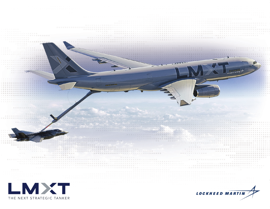